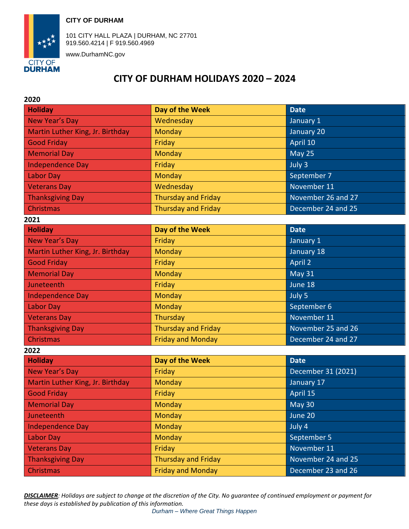



101 CITY HALL PLAZA | DURHAM, NC 27701 919.560.4214 | F 919.560.4969

www.DurhamNC.gov

## **CITY OF DURHAM HOLIDAYS 2020 – 2024**

| 2020                             |                            |                    |  |  |
|----------------------------------|----------------------------|--------------------|--|--|
| <b>Holiday</b>                   | Day of the Week            | <b>Date</b>        |  |  |
| <b>New Year's Day</b>            | Wednesday                  | January 1          |  |  |
| Martin Luther King, Jr. Birthday | Monday                     | January 20         |  |  |
| <b>Good Friday</b>               | Friday                     | April 10           |  |  |
| <b>Memorial Day</b>              | <b>Monday</b>              | <b>May 25</b>      |  |  |
| <b>Independence Day</b>          | Friday                     | July 3             |  |  |
| Labor Day                        | Monday                     | September 7        |  |  |
| <b>Veterans Day</b>              | Wednesday                  | November 11        |  |  |
| <b>Thanksgiving Day</b>          | <b>Thursday and Friday</b> | November 26 and 27 |  |  |
| Christmas                        | <b>Thursday and Friday</b> | December 24 and 25 |  |  |
| 2021                             |                            |                    |  |  |
| <b>Holiday</b>                   | Day of the Week            | <b>Date</b>        |  |  |
| <b>New Year's Day</b>            | Friday                     | January 1          |  |  |
| Martin Luther King, Jr. Birthday | Monday                     | January 18         |  |  |
| <b>Good Friday</b>               | Friday                     | April 2            |  |  |
| <b>Memorial Day</b>              | Monday                     | May 31             |  |  |
| Juneteenth                       | Friday                     | June 18            |  |  |
| <b>Independence Day</b>          | <b>Monday</b>              | July 5             |  |  |
| <b>Labor Day</b>                 | <b>Monday</b>              | September 6        |  |  |
| <b>Veterans Day</b>              | Thursday                   | November 11        |  |  |
| <b>Thanksgiving Day</b>          | <b>Thursday and Friday</b> | November 25 and 26 |  |  |
| Christmas                        | <b>Friday and Monday</b>   | December 24 and 27 |  |  |
| 2022                             |                            |                    |  |  |
| <b>Holiday</b>                   | Day of the Week            | <b>Date</b>        |  |  |
| New Year's Day                   | Friday                     | December 31 (2021) |  |  |
| Martin Luther King, Jr. Birthday | <b>Monday</b>              | January 17         |  |  |
| <b>Good Friday</b>               | Friday                     | April 15           |  |  |
| <b>Memorial Day</b>              | <b>Monday</b>              | <b>May 30</b>      |  |  |
| Juneteenth                       | <b>Monday</b>              | June 20            |  |  |
| <b>Independence Day</b>          | <b>Monday</b>              | July 4             |  |  |
| <b>Labor Day</b>                 | <b>Monday</b>              | September 5        |  |  |
| <b>Veterans Day</b>              | Friday                     | November 11        |  |  |
| <b>Thanksgiving Day</b>          | <b>Thursday and Friday</b> | November 24 and 25 |  |  |
| Christmas                        | <b>Friday and Monday</b>   | December 23 and 26 |  |  |

*DISCLAIMER: Holidays are subject to change at the discretion of the City. No guarantee of continued employment or payment for these days is established by publication of this information.*